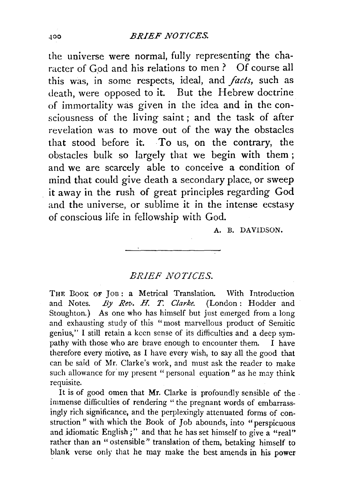## .tOO *.BRIEF NOTICES.*

the universe were normal, fully representing the character of God and his relations to men ? Of course all this was, in some respects, ideal, and *facts,* such as death, were opposed to it. But the Hebrew doctrine of immortality was given in the idea and in the consciousness of the living saint; and the task of after revelation was to move out of the way the obstacles that stood before it. To us, on the contrary, the obstacles bulk so largely that we begin with them; and we are scarcely able to conceive a condition of mind that could give death a secondary place, or sweep it away in the rush of great principles regarding God and the universe, or sublime it in the intense ecstasy of conscious life in fellowship with God.

A. B. DAVIDSON.

## *BRIEF NOTICES.*

THE BOOK OF JOB: a Metrical Translation. With Introduction and Notes. *By Rev. H. T. Clarke.* (London: Hodder and Stoughton.) As one who has himself but just emerged from a long and exhausting study of this "most marvellous product of Semitic genius," I still retain a keen sense of its difficulties and a deep sympathy with those who are brave enough to encounter them. I have therefore every motive, as I have every wish, to say all the good that can be said of Mr. Clarke's work, and must ask the reader to make such allowance for my present "personal equation" as he may think requisite.

It is of good omen that Mr. Clarke is profoundly sensible of the . immense difficulties of rendering "the pregnant words of embarrassingly rich significance, and the perplexingly attenuated forms of construction " with which the Book of Job abounds, into "perspicuous and idiomatic English;" and that he has set himself to give  $\vec{a}$  "real" rather than an " ostensible" translation of them, betaking himself to blank verse only that he may make the best amends in his power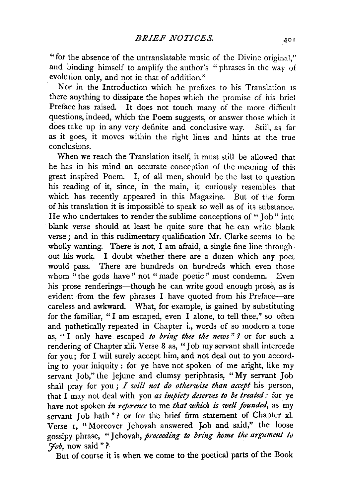"for the absence of the untranslatable music of the Divine original,'' and binding himself to amplify the author's " phrases in the way of evolution only, and not in that of addition."

Nor in the Introduction which he prefixes to his Translation IS there anything to dissipate the hopes which the promise of his brief Preface has raised. It does not touch many of the more difficult questions, indeed, which the Poem suggests, or answer those which it does take up in any very definite and conclusive way. Still, as far as it goes, it moves within the right lines and hints at the true conclusions.

When we reach the Translation itself, it must still be allowed that he has in his mind an accurate conception of the meaning of this great inspired Poem. I, of all men, should be the last to question his reading of it, since, in the main, it curiously resembles that which has recently appeared in this Magazine. But of the form of his translation it is impossible to speak so well as of its substance. He who undertakes to render the sublime conceptions of " Job" intc blank verse should at least be quite sure that he can write blank verse; and in this rudimentary qualification Mr. Clarke seems to be wholly wanting. There is not, I am afraid, a single fine line through. out his work. I doubt whether there are a dozen which any poet would pass. There are hundreds on hundreds which even those whom "the gods have" not "made poetic" must condemn. Even his prose renderings—though he can write good enough prose, as is evident from the few phrases I have quoted from his Preface-are careless and awkward. What, for example, is gained by substituting for the familiar, "I am escaped, even I alone, to tell thee," so often and pathetically repeated in Chapter i., words of so modern a tone as, '' I only have escaped *to bring thee the news* " *?* or for such a rendering of Chapter xlii. Verse 8 as, "Job my servant shall intercede for you; for I will surely accept him, and not deal out to you according to your iniquity : for ye have not spoken of me aright, like my servant Job," the jejune and clumsy periphrasis, "My servant Job shall pray for you; *I will not do otherwise than accept* his person, that I may not deal with you *as impiety deserves to be treated:* for ye have not spoken *in reterence* to me *that which is well founded*, as my servant Job hath"? or for the brief firm statement of Chapter xl. Verse 1, "Moreover Jehovah answered Job and said," the loose gossipy phrase, "Jehovah, *proceeding to bring home the argument to ]'ob,* now said " ?

But of course it is when we come to the poetical parts of the Book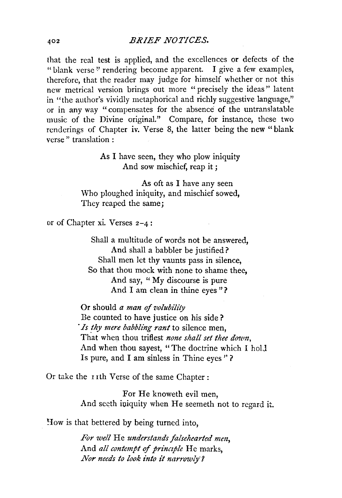that the real test is applied, and the excellences or defects of the "blank verse" rendering become apparent. I give a few examples, therefore, that the reader may judge for himself whether or not this new metrical version brings out more "precisely the ideas" latent in "the author's vividly metaphorical and richly suggestive language," or in any way "compensates for the absence of the untranslatable music of the Divine original." Compare, for instance, these two renderings of Chapter iv. Verse 8, the latter being the new " blank verse " translation :

> As I have seen, they who plow iniquity And sow mischief, reap it ;

As oft as I have any seen Who ploughed iniquity, and mischief sowed, They reaped the same;

or of Chapter xi. Verses 2-4:

Shall a multitude of words not be answered, And shall a babbler be justified? Shall men let thy vaunts pass in silence, So that thou mock with none to shame thee, And say, "My discourse is pure And I am clean in thine eyes "?

Or should *a man of volubility*  Be counted to have justice on his side? *Is thy mere babbling rant* to silence men, That when thou triflest *none shall set thee down*, And when thou sayest, "The doctrine which I ho!J Is pure, and I am sinless in Thine eyes '' ?

Or take the 11th Verse of the same Chapter :

For He knoweth evil men, And seeth iniquity when He seemeth not to regard it.

How is that bettered by being turned into,

*For well* He *understands falsehearted men,*  And *all contempt* of *princzple* He marks, *Nor needs to look into it narrowly·?*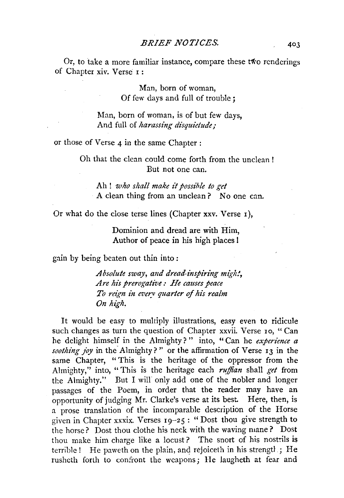Or, to take a more familiar instance, compare these two renderings of Chapter xiv. Verse 1:

> Man, born of woman, Of few days and full of trouble;

Man, born of woman, is of but few days, And full of *harassing disquietude;* 

or those of Verse 4 in the same Chapter :

Oh that the clean could come forth from the unclean ! But not one can.

Ah ! *who shall make it possible to get*  A clean thing from an unclean ? No one can.

Or what do the close terse lines (Chapter xxv. Verse r),

Dominion and dread are with Him, Author of peace in his high places I

gain by being beaten out thin into :

*Absolute sway, and dread-inspiring migh!, Are his prerogative: He causes peace To reign in every quarter of his realm On high.* 

It would be easy to multiply illustrations, easy even to ridicule such changes as turn the question of Chapter xxvii. Verse 10, "Can he delight himself in the Almighty? " into, " Can he *experience a soothing joy* in the Almighty? '' or the affirmation of Verse 13 in the same Chapter, "This is the heritage of the oppressor from the Almighty," into, "This is the heritage each *ruffian* shall *get* from the Almighty." But I will only add one of the nobler and longer passages of the Poem, in order that the reader may have an opportunity of judging Mr. Clarke's verse at its best. Here, then, is a prose translation of the incomparable description of the Horse given in Chapter xxxix. Verses  $19-25$ : "Dost thou give strength to the horse? Dost thou clothe his neck with the waving mane? Dost thou make him charge like a locust? The snort of his nostrils is terrible ! He paweth on the plain, and rejoiceth in his strengtl .; He rusheth forth to confront the weapons; He laugheth at fear and